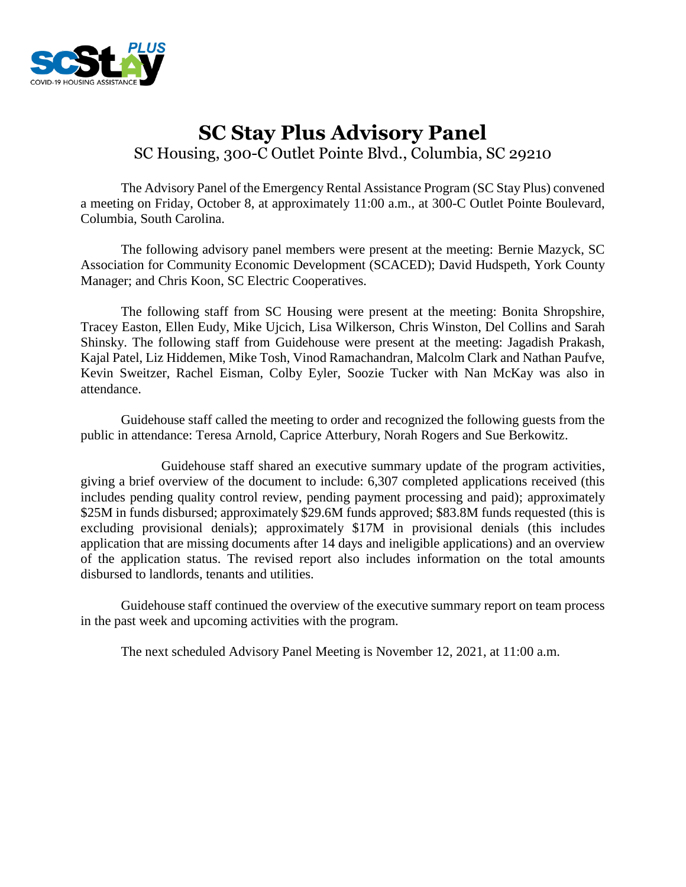

# **SC Stay Plus Advisory Panel** SC Housing, 300-C Outlet Pointe Blvd., Columbia, SC 29210

The Advisory Panel of the Emergency Rental Assistance Program (SC Stay Plus) convened a meeting on Friday, October 8, at approximately 11:00 a.m., at 300-C Outlet Pointe Boulevard, Columbia, South Carolina.

The following advisory panel members were present at the meeting: Bernie Mazyck, SC Association for Community Economic Development (SCACED); David Hudspeth, York County Manager; and Chris Koon, SC Electric Cooperatives.

The following staff from SC Housing were present at the meeting: Bonita Shropshire, Tracey Easton, Ellen Eudy, Mike Ujcich, Lisa Wilkerson, Chris Winston, Del Collins and Sarah Shinsky. The following staff from Guidehouse were present at the meeting: Jagadish Prakash, Kajal Patel, Liz Hiddemen, Mike Tosh, Vinod Ramachandran, Malcolm Clark and Nathan Paufve, Kevin Sweitzer, Rachel Eisman, Colby Eyler, Soozie Tucker with Nan McKay was also in attendance.

Guidehouse staff called the meeting to order and recognized the following guests from the public in attendance: Teresa Arnold, Caprice Atterbury, Norah Rogers and Sue Berkowitz.

Guidehouse staff shared an executive summary update of the program activities, giving a brief overview of the document to include: 6,307 completed applications received (this includes pending quality control review, pending payment processing and paid); approximately \$25M in funds disbursed; approximately \$29.6M funds approved; \$83.8M funds requested (this is excluding provisional denials); approximately \$17M in provisional denials (this includes application that are missing documents after 14 days and ineligible applications) and an overview of the application status. The revised report also includes information on the total amounts disbursed to landlords, tenants and utilities.

Guidehouse staff continued the overview of the executive summary report on team process in the past week and upcoming activities with the program.

The next scheduled Advisory Panel Meeting is November 12, 2021, at 11:00 a.m.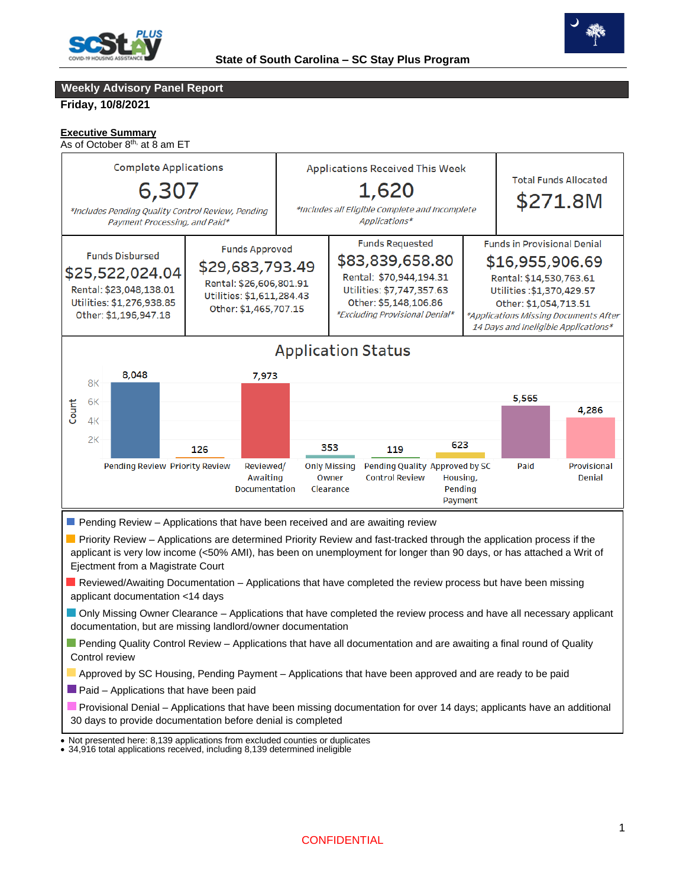



#### **Weekly Advisory Panel Report**

**Friday, 10/8/2021**

#### **Executive Summary**

As of October 8<sup>th,</sup> at 8 am ET



Provisional Denial – Applications that have been missing documentation for over 14 days; applicants have an additional 30 days to provide documentation before denial is completed

 • Not presented here: 8,139 applications from excluded counties or duplicates

<sup>•</sup> 34,916 total applications received, including 8,139 determined ineligible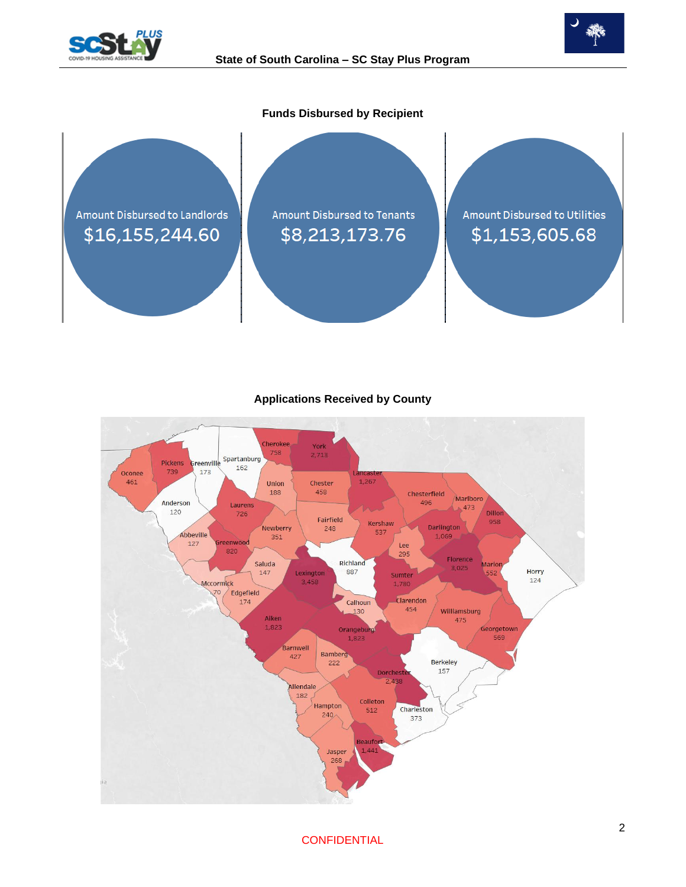





### **Applications Received by County**



**CONFIDENTIAL**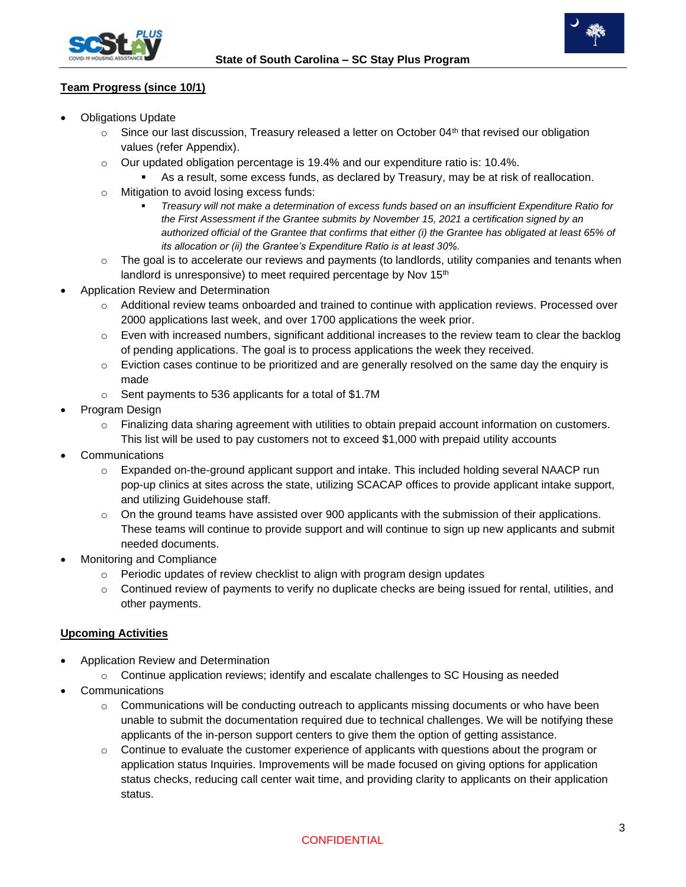



## **Team Progress (since 10/1)**

- **Obligations Update** 
	- $\circ$  Since our last discussion, Treasury released a letter on October 04<sup>th</sup> that revised our obligation values (refer Appendix).
	- $\circ$  Our updated obligation percentage is 19.4% and our expenditure ratio is: 10.4%.
		- As a result, some excess funds, as declared by Treasury, may be at risk of reallocation.
	- o Mitigation to avoid losing excess funds:
		- *Treasury will not make a determination of excess funds based on an insufficient Expenditure Ratio for the First Assessment if the Grantee submits by November 15, 2021 a certification signed by an authorized official of the Grantee that confirms that either (i) the Grantee has obligated at least 65% of its allocation or (ii) the Grantee's Expenditure Ratio is at least 30%.*
	- $\circ$  The goal is to accelerate our reviews and payments (to landlords, utility companies and tenants when landlord is unresponsive) to meet required percentage by Nov 15<sup>th</sup>
- Application Review and Determination
	- $\circ$  Additional review teams onboarded and trained to continue with application reviews. Processed over 2000 applications last week, and over 1700 applications the week prior.
	- $\circ$  Even with increased numbers, significant additional increases to the review team to clear the backlog of pending applications. The goal is to process applications the week they received.
	- $\circ$  Eviction cases continue to be prioritized and are generally resolved on the same day the enquiry is made
	- o Sent payments to 536 applicants for a total of \$1.7M
- Program Design
	- o Finalizing data sharing agreement with utilities to obtain prepaid account information on customers. This list will be used to pay customers not to exceed \$1,000 with prepaid utility accounts
- **Communications** 
	- $\circ$  Expanded on-the-ground applicant support and intake. This included holding several NAACP run pop-up clinics at sites across the state, utilizing SCACAP offices to provide applicant intake support, and utilizing Guidehouse staff.
	- $\circ$  On the ground teams have assisted over 900 applicants with the submission of their applications. These teams will continue to provide support and will continue to sign up new applicants and submit needed documents.
- Monitoring and Compliance
	- o Periodic updates of review checklist to align with program design updates
	- o Continued review of payments to verify no duplicate checks are being issued for rental, utilities, and other payments.

#### **Upcoming Activities**

- Application Review and Determination
	- $\circ$  Continue application reviews; identify and escalate challenges to SC Housing as needed
- **Communications** 
	- $\circ$  Communications will be conducting outreach to applicants missing documents or who have been unable to submit the documentation required due to technical challenges. We will be notifying these applicants of the in-person support centers to give them the option of getting assistance.
	- $\circ$  Continue to evaluate the customer experience of applicants with questions about the program or application status Inquiries. Improvements will be made focused on giving options for application status checks, reducing call center wait time, and providing clarity to applicants on their application status.